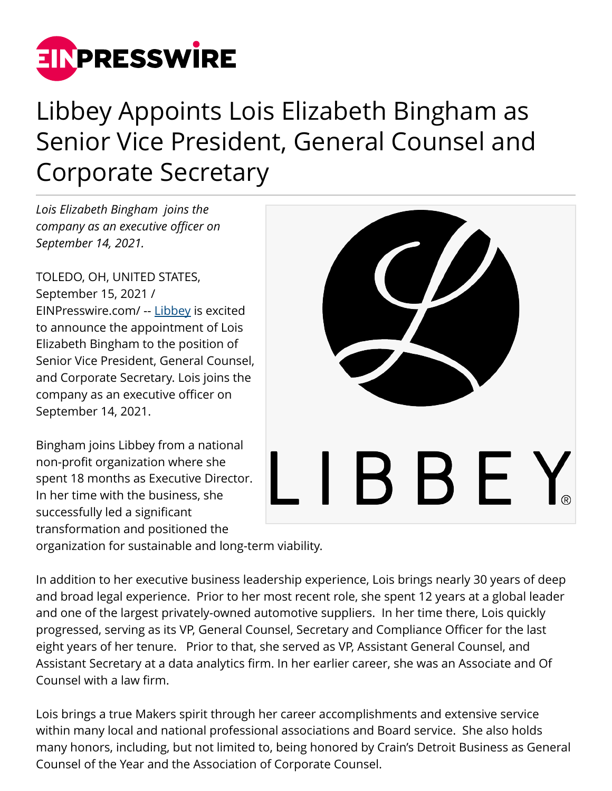

## Libbey Appoints Lois Elizabeth Bingham as Senior Vice President, General Counsel and Corporate Secretary

*Lois Elizabeth Bingham joins the company as an executive officer on September 14, 2021.*

TOLEDO, OH, UNITED STATES, September 15, 2021 / [EINPresswire.com](http://www.einpresswire.com)/ -- [Libbey](http://www.libbey.com) is excited to announce the appointment of Lois Elizabeth Bingham to the position of Senior Vice President, General Counsel, and Corporate Secretary. Lois joins the company as an executive officer on September 14, 2021.

Bingham joins Libbey from a national non-profit organization where she spent 18 months as Executive Director. In her time with the business, she successfully led a significant transformation and positioned the



organization for sustainable and long-term viability.

In addition to her executive business leadership experience, Lois brings nearly 30 years of deep and broad legal experience. Prior to her most recent role, she spent 12 years at a global leader and one of the largest privately-owned automotive suppliers. In her time there, Lois quickly progressed, serving as its VP, General Counsel, Secretary and Compliance Officer for the last eight years of her tenure. Prior to that, she served as VP, Assistant General Counsel, and Assistant Secretary at a data analytics firm. In her earlier career, she was an Associate and Of Counsel with a law firm.

Lois brings a true Makers spirit through her career accomplishments and extensive service within many local and national professional associations and Board service. She also holds many honors, including, but not limited to, being honored by Crain's Detroit Business as General Counsel of the Year and the Association of Corporate Counsel.